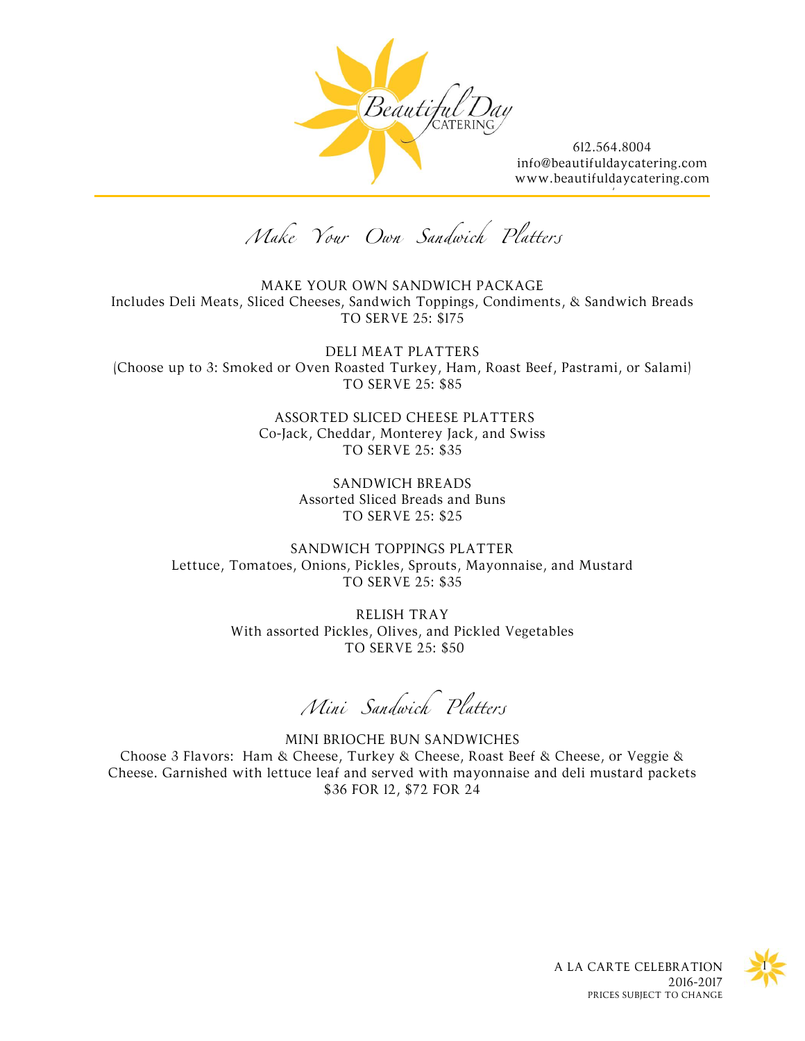

[/](http://www.beautifuldaycatering.com/)

Make Your Own Sandwich Platters

MAKE YOUR OWN SANDWICH PACKAGE Includes Deli Meats, Sliced Cheeses, Sandwich Toppings, Condiments, & Sandwich Breads TO SERVE 25: \$175

DELI MEAT PLATTERS (Choose up to 3: Smoked or Oven Roasted Turkey, Ham, Roast Beef, Pastrami, or Salami) TO SERVE 25: \$85

> ASSORTED SLICED CHEESE PLATTERS Co-Jack, Cheddar, Monterey Jack, and Swiss TO SERVE 25: \$35

> > SANDWICH BREADS Assorted Sliced Breads and Buns TO SERVE 25: \$25

SANDWICH TOPPINGS PLATTER Lettuce, Tomatoes, Onions, Pickles, Sprouts, Mayonnaise, and Mustard TO SERVE 25: \$35

> RELISH TRAY With assorted Pickles, Olives, and Pickled Vegetables TO SERVE 25: \$50

Mini Sandwich Platters

MINI BRIOCHE BUN SANDWICHES Choose 3 Flavors: Ham & Cheese, Turkey & Cheese, Roast Beef & Cheese, or Veggie & Cheese. Garnished with lettuce leaf and served with mayonnaise and deli mustard packets \$36 FOR 12, \$72 FOR 24

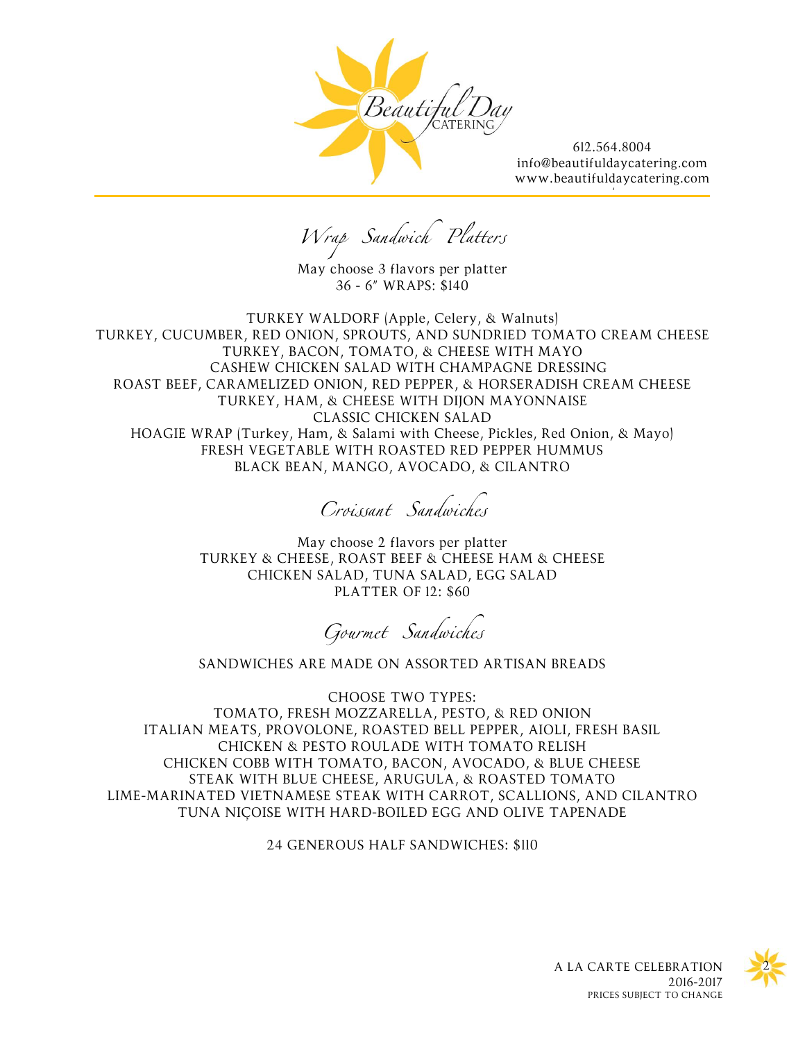

[/](http://www.beautifuldaycatering.com/)

Wrap Sandwich Platters

May choose 3 flavors per platter 36 - 6" WRAPS: \$140

TURKEY WALDORF (Apple, Celery, & Walnuts) TURKEY, CUCUMBER, RED ONION, SPROUTS, AND SUNDRIED TOMATO CREAM CHEESE TURKEY, BACON, TOMATO, & CHEESE WITH MAYO CASHEW CHICKEN SALAD WITH CHAMPAGNE DRESSING ROAST BEEF, CARAMELIZED ONION, RED PEPPER, & HORSERADISH CREAM CHEESE TURKEY, HAM, & CHEESE WITH DIJON MAYONNAISE CLASSIC CHICKEN SALAD HOAGIE WRAP (Turkey, Ham, & Salami with Cheese, Pickles, Red Onion, & Mayo) FRESH VEGETABLE WITH ROASTED RED PEPPER HUMMUS BLACK BEAN, MANGO, AVOCADO, & CILANTRO

Croissant Sandwiches

May choose 2 flavors per platter TURKEY & CHEESE, ROAST BEEF & CHEESE HAM & CHEESE CHICKEN SALAD, TUNA SALAD, EGG SALAD PLATTER OF 12: \$60

Gourmet Sandwiches

SANDWICHES ARE MADE ON ASSORTED ARTISAN BREADS

CHOOSE TWO TYPES: TOMATO, FRESH MOZZARELLA, PESTO, & RED ONION ITALIAN MEATS, PROVOLONE, ROASTED BELL PEPPER, AIOLI, FRESH BASIL CHICKEN & PESTO ROULADE WITH TOMATO RELISH CHICKEN COBB WITH TOMATO, BACON, AVOCADO, & BLUE CHEESE STEAK WITH BLUE CHEESE, ARUGULA, & ROASTED TOMATO LIME-MARINATED VIETNAMESE STEAK WITH CARROT, SCALLIONS, AND CILANTRO TUNA NIÇOISE WITH HARD-BOILED EGG AND OLIVE TAPENADE

24 GENEROUS HALF SANDWICHES: \$110

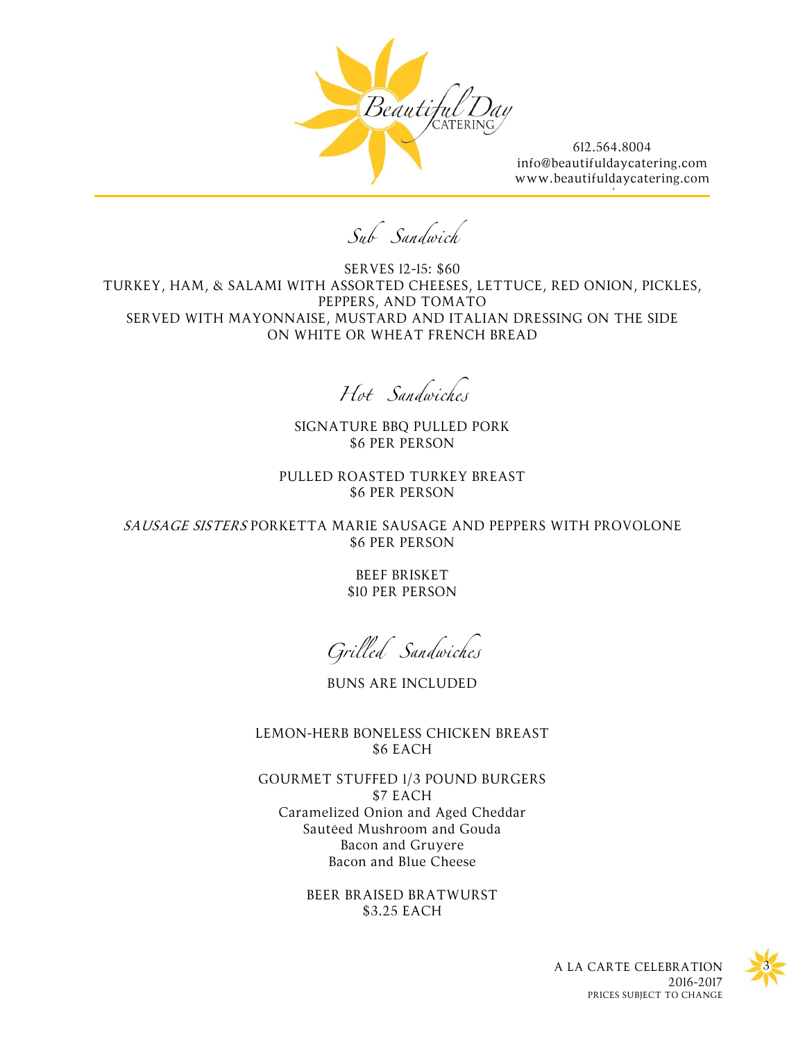

[/](http://www.beautifuldaycatering.com/)

Sub Sandwich

SERVES 12-15: \$60 TURKEY, HAM, & SALAMI WITH ASSORTED CHEESES, LETTUCE, RED ONION, PICKLES, PEPPERS, AND TOMATO SERVED WITH MAYONNAISE, MUSTARD AND ITALIAN DRESSING ON THE SIDE ON WHITE OR WHEAT FRENCH BREAD

Hot Sandwiches

SIGNATURE BBQ PULLED PORK \$6 PER PERSON

PULLED ROASTED TURKEY BREAST \$6 PER PERSON

SAUSAGE SISTERS PORKETTA MARIE SAUSAGE AND PEPPERS WITH PROVOLONE \$6 PER PERSON

> BEEF BRISKET \$10 PER PERSON

Grilled Sandwiches

BUNS ARE INCLUDED

LEMON-HERB BONELESS CHICKEN BREAST \$6 EACH

GOURMET STUFFED 1/3 POUND BURGERS \$7 EACH Caramelized Onion and Aged Cheddar Sautéed Mushroom and Gouda Bacon and Gruyere Bacon and Blue Cheese

> BEER BRAISED BRATWURST \$3.25 EACH

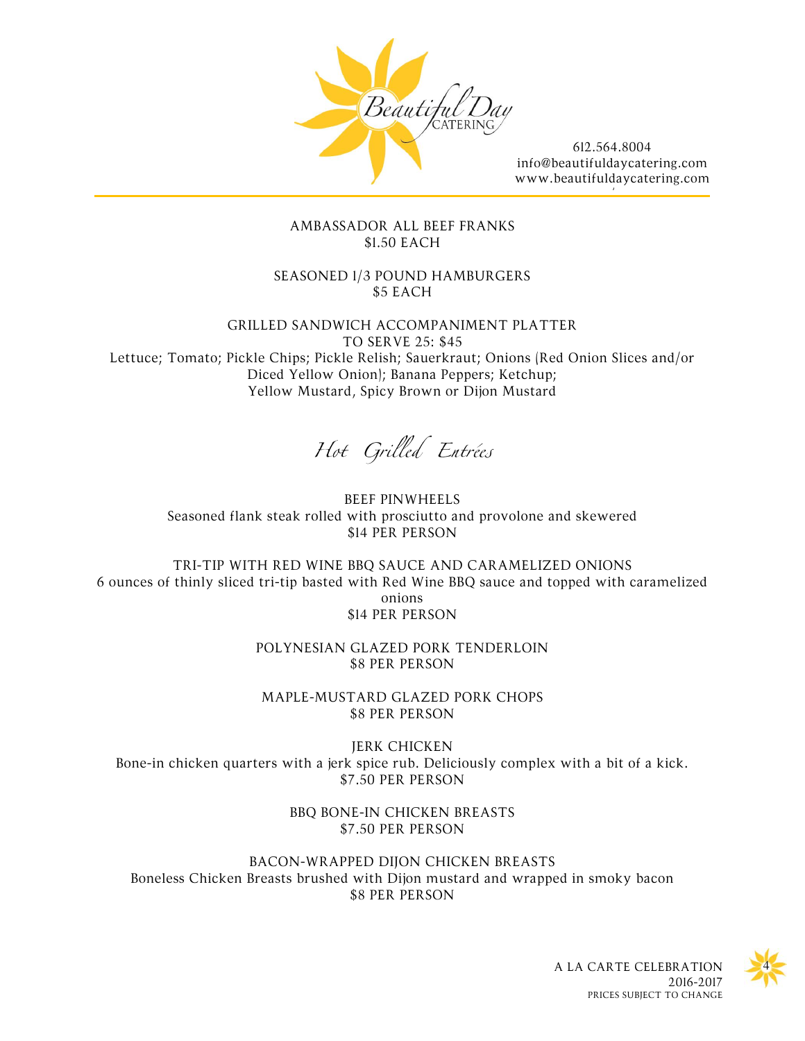

[/](http://www.beautifuldaycatering.com/)

## AMBASSADOR ALL BEEF FRANKS \$1.50 EACH

SEASONED 1/3 POUND HAMBURGERS \$5 EACH

GRILLED SANDWICH ACCOMPANIMENT PLATTER TO SERVE 25: \$45

Lettuce; Tomato; Pickle Chips; Pickle Relish; Sauerkraut; Onions (Red Onion Slices and/or Diced Yellow Onion); Banana Peppers; Ketchup; Yellow Mustard, Spicy Brown or Dijon Mustard

Hot Grilled Entrées

BEEF PINWHEELS Seasoned flank steak rolled with prosciutto and provolone and skewered \$14 PER PERSON

TRI-TIP WITH RED WINE BBQ SAUCE AND CARAMELIZED ONIONS 6 ounces of thinly sliced tri-tip basted with Red Wine BBQ sauce and topped with caramelized onions \$14 PER PERSON

> POLYNESIAN GLAZED PORK TENDERLOIN \$8 PER PERSON

MAPLE-MUSTARD GLAZED PORK CHOPS \$8 PER PERSON

JERK CHICKEN Bone-in chicken quarters with a jerk spice rub. Deliciously complex with a bit of a kick. \$7.50 PER PERSON

> BBQ BONE-IN CHICKEN BREASTS \$7.50 PER PERSON

BACON-WRAPPED DIJON CHICKEN BREASTS Boneless Chicken Breasts brushed with Dijon mustard and wrapped in smoky bacon \$8 PER PERSON

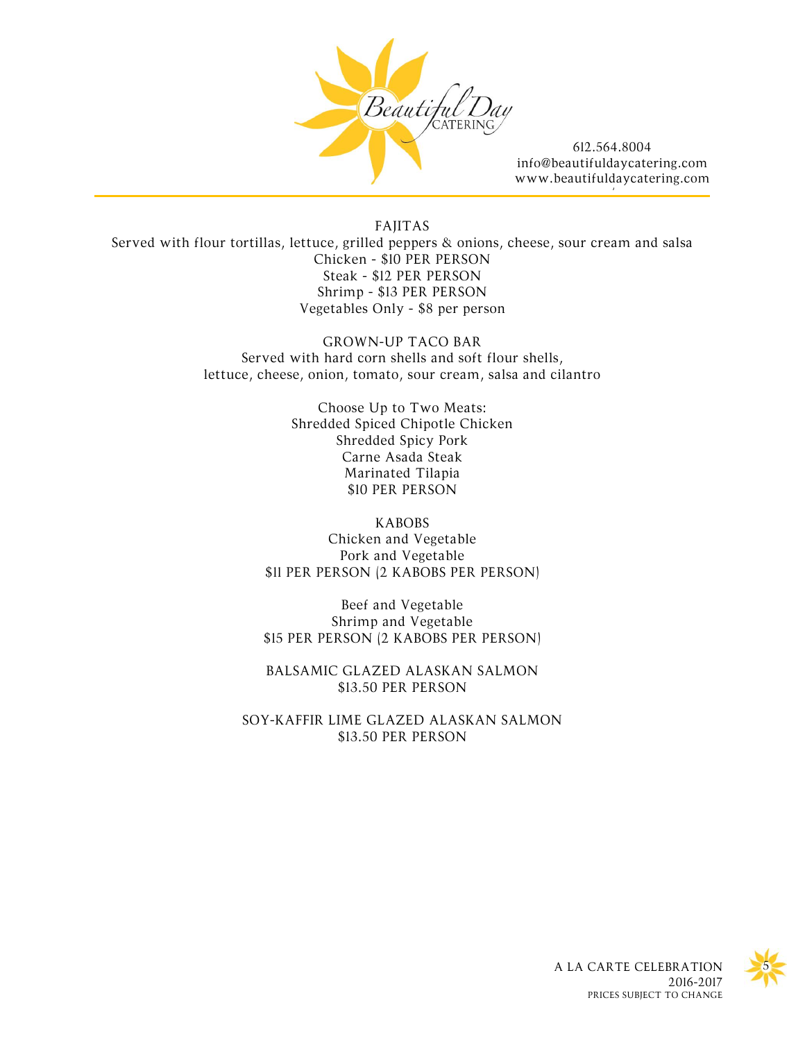

[/](http://www.beautifuldaycatering.com/)

FAJITAS Served with flour tortillas, lettuce, grilled peppers & onions, cheese, sour cream and salsa Chicken - \$10 PER PERSON Steak - \$12 PER PERSON Shrimp - \$13 PER PERSON Vegetables Only - \$8 per person

> GROWN-UP TACO BAR Served with hard corn shells and soft flour shells, lettuce, cheese, onion, tomato, sour cream, salsa and cilantro

> > Choose Up to Two Meats: Shredded Spiced Chipotle Chicken Shredded Spicy Pork Carne Asada Steak Marinated Tilapia \$10 PER PERSON

KABOBS Chicken and Vegetable Pork and Vegetable \$11 PER PERSON (2 KABOBS PER PERSON)

Beef and Vegetable Shrimp and Vegetable \$15 PER PERSON (2 KABOBS PER PERSON)

BALSAMIC GLAZED ALASKAN SALMON \$13.50 PER PERSON

SOY-KAFFIR LIME GLAZED ALASKAN SALMON \$13.50 PER PERSON

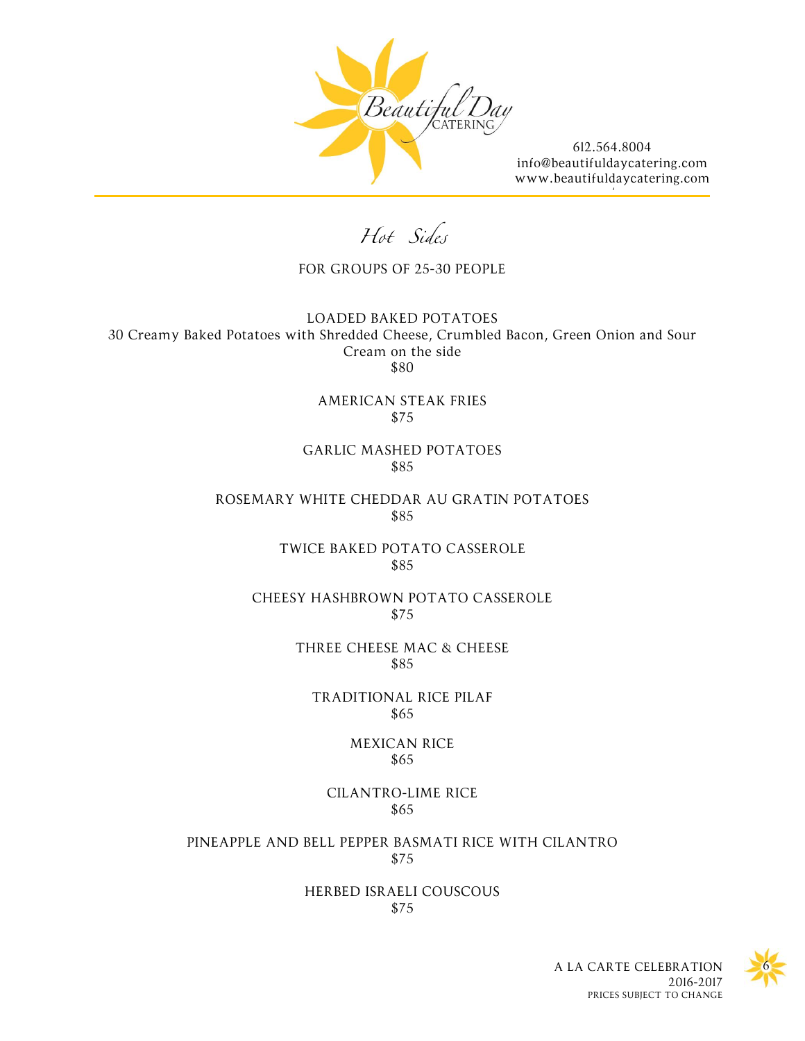

[/](http://www.beautifuldaycatering.com/)

Hot Sides

FOR GROUPS OF 25-30 PEOPLE

LOADED BAKED POTATOES 30 Creamy Baked Potatoes with Shredded Cheese, Crumbled Bacon, Green Onion and Sour Cream on the side \$80

> AMERICAN STEAK FRIES \$75

GARLIC MASHED POTATOES \$85

ROSEMARY WHITE CHEDDAR AU GRATIN POTATOES \$85

> TWICE BAKED POTATO CASSEROLE \$85

CHEESY HASHBROWN POTATO CASSEROLE \$75

> THREE CHEESE MAC & CHEESE \$85

TRADITIONAL RICE PILAF \$65

> MEXICAN RICE \$65

CILANTRO-LIME RICE \$65

PINEAPPLE AND BELL PEPPER BASMATI RICE WITH CILANTRO \$75

> HERBED ISRAELI COUSCOUS \$75

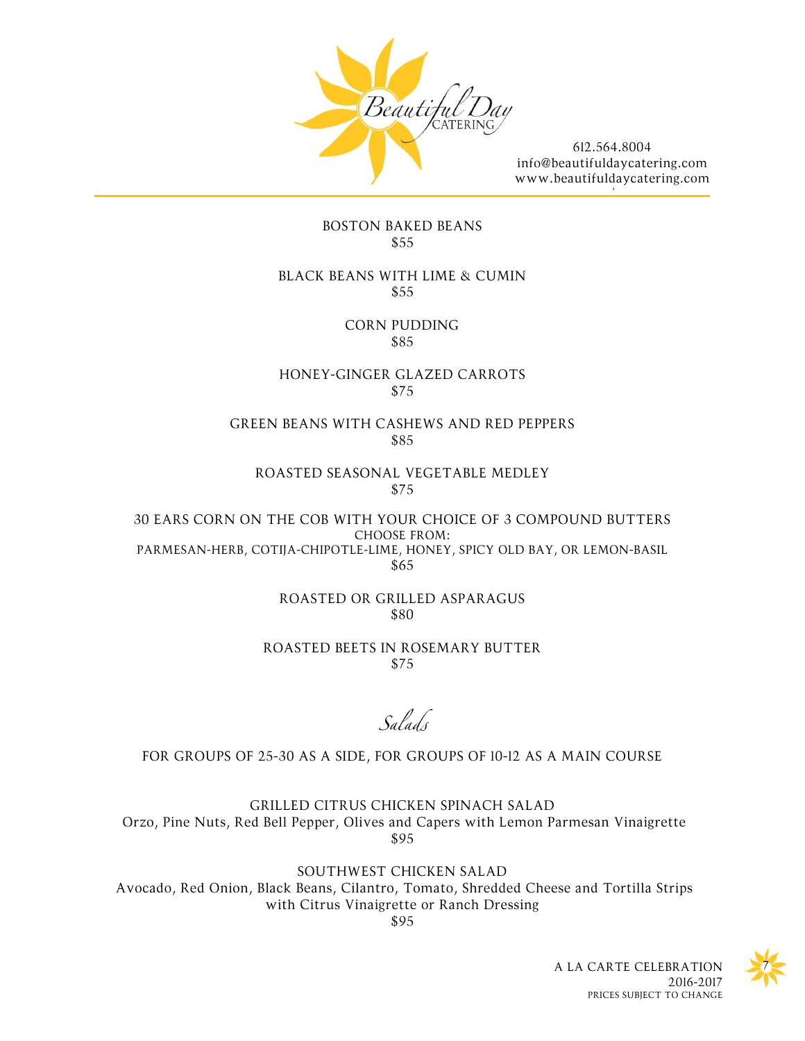

[/](http://www.beautifuldaycatering.com/)

### BOSTON BAKED BEANS \$55

#### BLACK BEANS WITH LIME & CUMIN \$55

CORN PUDDING \$85

HONEY-GINGER GLAZED CARROTS \$75

## GREEN BEANS WITH CASHEWS AND RED PEPPERS \$85

ROASTED SEASONAL VEGETABLE MEDLEY \$75

30 EARS CORN ON THE COB WITH YOUR CHOICE OF 3 COMPOUND BUTTERS CHOOSE FROM: PARMESAN-HERB, COTIJA-CHIPOTLE-LIME, HONEY, SPICY OLD BAY, OR LEMON-BASIL \$65

> ROASTED OR GRILLED ASPARAGUS \$80

ROASTED BEETS IN ROSEMARY BUTTER \$75

Salads

# FOR GROUPS OF 25-30 AS A SIDE, FOR GROUPS OF 10-12 AS A MAIN COURSE

GRILLED CITRUS CHICKEN SPINACH SALAD Orzo, Pine Nuts, Red Bell Pepper, Olives and Capers with Lemon Parmesan Vinaigrette \$95

SOUTHWEST CHICKEN SALAD Avocado, Red Onion, Black Beans, Cilantro, Tomato, Shredded Cheese and Tortilla Strips with Citrus Vinaigrette or Ranch Dressing \$95

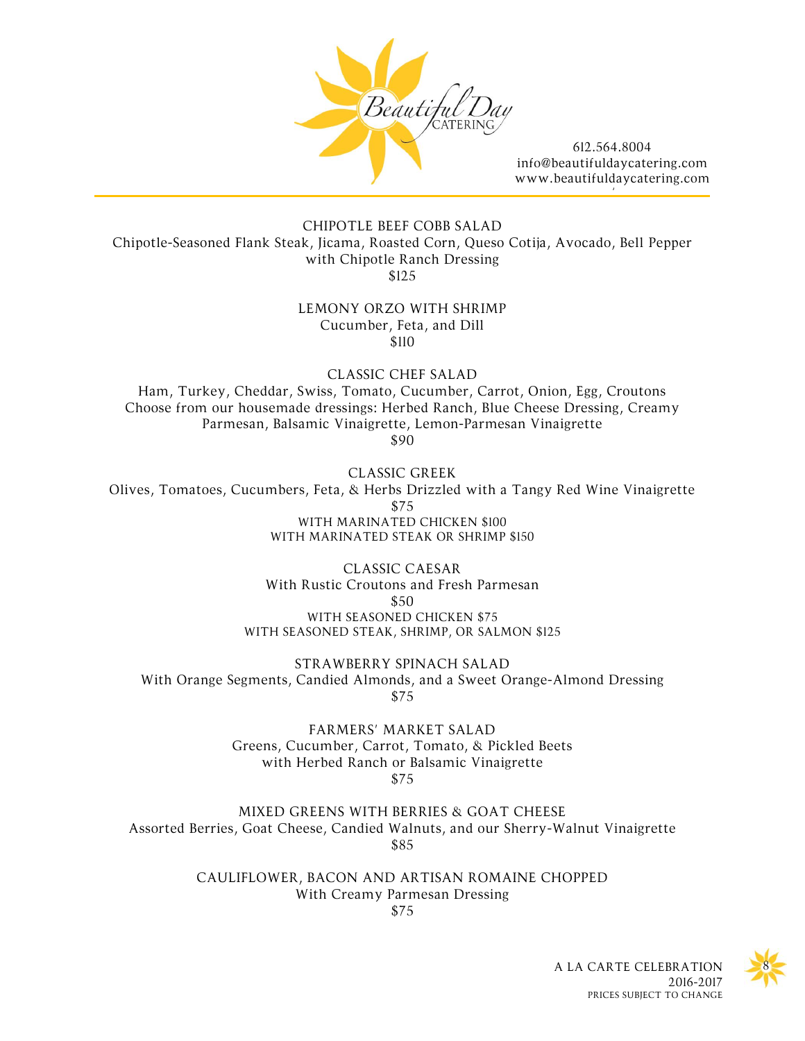

[/](http://www.beautifuldaycatering.com/)

CHIPOTLE BEEF COBB SALAD Chipotle-Seasoned Flank Steak, Jicama, Roasted Corn, Queso Cotija, Avocado, Bell Pepper with Chipotle Ranch Dressing \$125

#### LEMONY ORZO WITH SHRIMP Cucumber, Feta, and Dill \$110

CLASSIC CHEF SALAD

Ham, Turkey, Cheddar, Swiss, Tomato, Cucumber, Carrot, Onion, Egg, Croutons Choose from our housemade dressings: Herbed Ranch, Blue Cheese Dressing, Creamy Parmesan, Balsamic Vinaigrette, Lemon-Parmesan Vinaigrette \$90

CLASSIC GREEK

Olives, Tomatoes, Cucumbers, Feta, & Herbs Drizzled with a Tangy Red Wine Vinaigrette \$75 WITH MARINATED CHICKEN \$100 WITH MARINATED STEAK OR SHRIMP \$150

> CLASSIC CAESAR With Rustic Croutons and Fresh Parmesan \$50 WITH SEASONED CHICKEN \$75 WITH SEASONED STEAK, SHRIMP, OR SALMON \$125

STRAWBERRY SPINACH SALAD With Orange Segments, Candied Almonds, and a Sweet Orange-Almond Dressing \$75

> FARMERS' MARKET SALAD Greens, Cucumber, Carrot, Tomato, & Pickled Beets with Herbed Ranch or Balsamic Vinaigrette \$75

MIXED GREENS WITH BERRIES & GOAT CHEESE Assorted Berries, Goat Cheese, Candied Walnuts, and our Sherry-Walnut Vinaigrette \$85

> CAULIFLOWER, BACON AND ARTISAN ROMAINE CHOPPED With Creamy Parmesan Dressing \$75

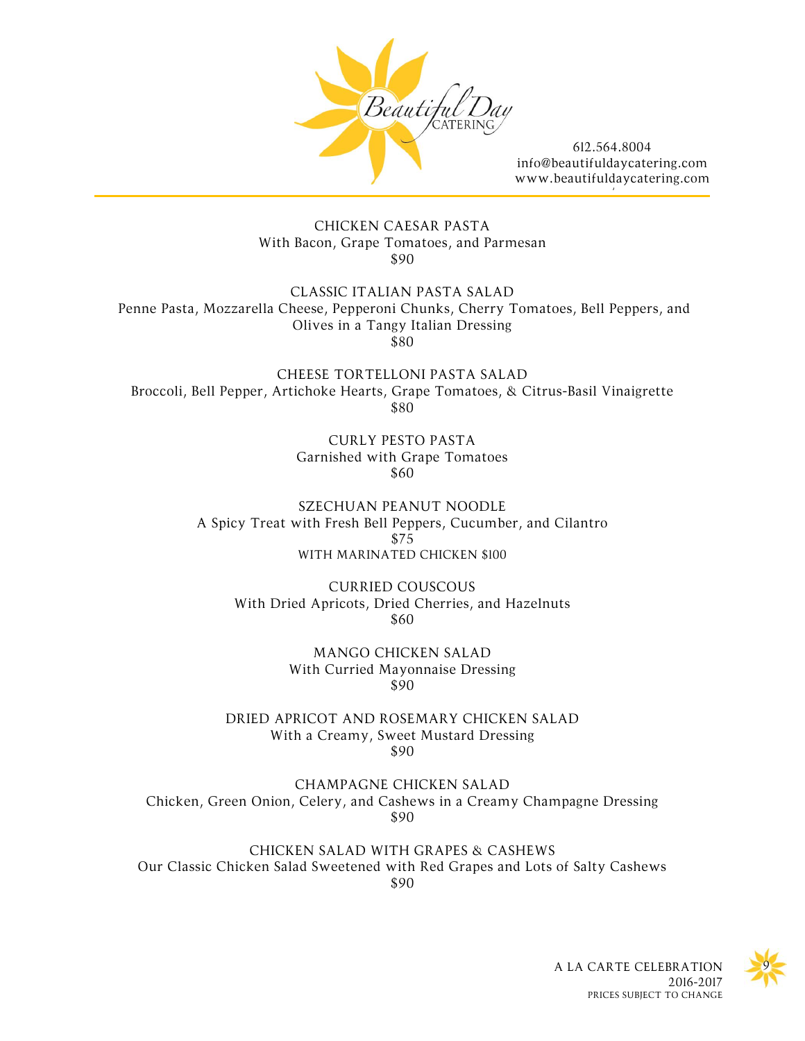

[/](http://www.beautifuldaycatering.com/)

### CHICKEN CAESAR PASTA With Bacon, Grape Tomatoes, and Parmesan \$90

CLASSIC ITALIAN PASTA SALAD Penne Pasta, Mozzarella Cheese, Pepperoni Chunks, Cherry Tomatoes, Bell Peppers, and Olives in a Tangy Italian Dressing \$80

CHEESE TORTELLONI PASTA SALAD Broccoli, Bell Pepper, Artichoke Hearts, Grape Tomatoes, & Citrus-Basil Vinaigrette \$80

> CURLY PESTO PASTA Garnished with Grape Tomatoes \$60

SZECHUAN PEANUT NOODLE A Spicy Treat with Fresh Bell Peppers, Cucumber, and Cilantro \$75 WITH MARINATED CHICKEN \$100

CURRIED COUSCOUS With Dried Apricots, Dried Cherries, and Hazelnuts \$60

> MANGO CHICKEN SALAD With Curried Mayonnaise Dressing \$90

DRIED APRICOT AND ROSEMARY CHICKEN SALAD With a Creamy, Sweet Mustard Dressing \$90

CHAMPAGNE CHICKEN SALAD Chicken, Green Onion, Celery, and Cashews in a Creamy Champagne Dressing \$90

CHICKEN SALAD WITH GRAPES & CASHEWS Our Classic Chicken Salad Sweetened with Red Grapes and Lots of Salty Cashews \$90